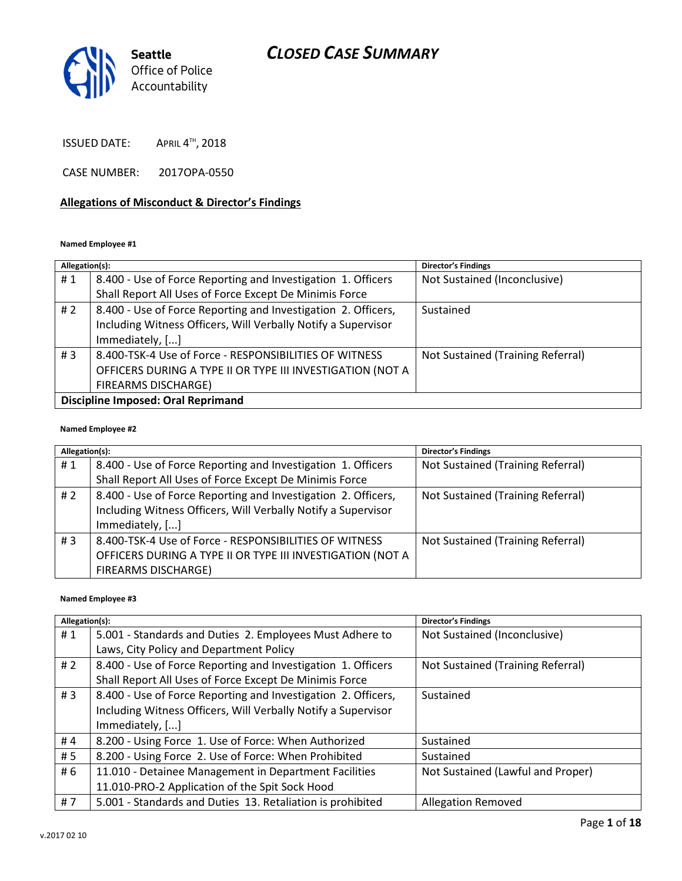

**ISSUED DATE:**  $^{\text{\tiny{\textsf{TH}}}}$ , 2018

CASE NUMBER: 2017OPA-0550

#### Allegations of Misconduct & Director's Findings

#### Named Employee #1

| Allegation(s):                            |                                                               | <b>Director's Findings</b>        |
|-------------------------------------------|---------------------------------------------------------------|-----------------------------------|
| #1                                        | 8.400 - Use of Force Reporting and Investigation 1. Officers  | Not Sustained (Inconclusive)      |
|                                           | Shall Report All Uses of Force Except De Minimis Force        |                                   |
| #2                                        | 8.400 - Use of Force Reporting and Investigation 2. Officers, | Sustained                         |
|                                           | Including Witness Officers, Will Verbally Notify a Supervisor |                                   |
|                                           | Immediately, []                                               |                                   |
| #3                                        | 8.400-TSK-4 Use of Force - RESPONSIBILITIES OF WITNESS        | Not Sustained (Training Referral) |
|                                           | OFFICERS DURING A TYPE II OR TYPE III INVESTIGATION (NOT A    |                                   |
|                                           | <b>FIREARMS DISCHARGE)</b>                                    |                                   |
| <b>Discipline Imposed: Oral Reprimand</b> |                                                               |                                   |

#### Named Employee #2

| Allegation(s):   |                                                                                                                                | <b>Director's Findings</b>        |
|------------------|--------------------------------------------------------------------------------------------------------------------------------|-----------------------------------|
| #1               | 8.400 - Use of Force Reporting and Investigation 1. Officers                                                                   | Not Sustained (Training Referral) |
|                  | Shall Report All Uses of Force Except De Minimis Force                                                                         |                                   |
| #2               | 8.400 - Use of Force Reporting and Investigation 2. Officers,<br>Including Witness Officers, Will Verbally Notify a Supervisor | Not Sustained (Training Referral) |
|                  | Immediately, []                                                                                                                |                                   |
| # $\overline{3}$ | 8.400-TSK-4 Use of Force - RESPONSIBILITIES OF WITNESS                                                                         | Not Sustained (Training Referral) |
|                  | OFFICERS DURING A TYPE II OR TYPE III INVESTIGATION (NOT A                                                                     |                                   |
|                  | <b>FIREARMS DISCHARGE)</b>                                                                                                     |                                   |

#### Named Employee #3

| Allegation(s): |                                                               | <b>Director's Findings</b>        |
|----------------|---------------------------------------------------------------|-----------------------------------|
| #1             | 5.001 - Standards and Duties 2. Employees Must Adhere to      | Not Sustained (Inconclusive)      |
|                | Laws, City Policy and Department Policy                       |                                   |
| # $2$          | 8.400 - Use of Force Reporting and Investigation 1. Officers  | Not Sustained (Training Referral) |
|                | Shall Report All Uses of Force Except De Minimis Force        |                                   |
| #3             | 8.400 - Use of Force Reporting and Investigation 2. Officers, | Sustained                         |
|                | Including Witness Officers, Will Verbally Notify a Supervisor |                                   |
|                | Immediately, []                                               |                                   |
| #4             | 8.200 - Using Force 1. Use of Force: When Authorized          | Sustained                         |
| # 5            | 8.200 - Using Force 2. Use of Force: When Prohibited          | Sustained                         |
| # 6            | 11.010 - Detainee Management in Department Facilities         | Not Sustained (Lawful and Proper) |
|                | 11.010-PRO-2 Application of the Spit Sock Hood                |                                   |
| #7             | 5.001 - Standards and Duties 13. Retaliation is prohibited    | Allegation Removed                |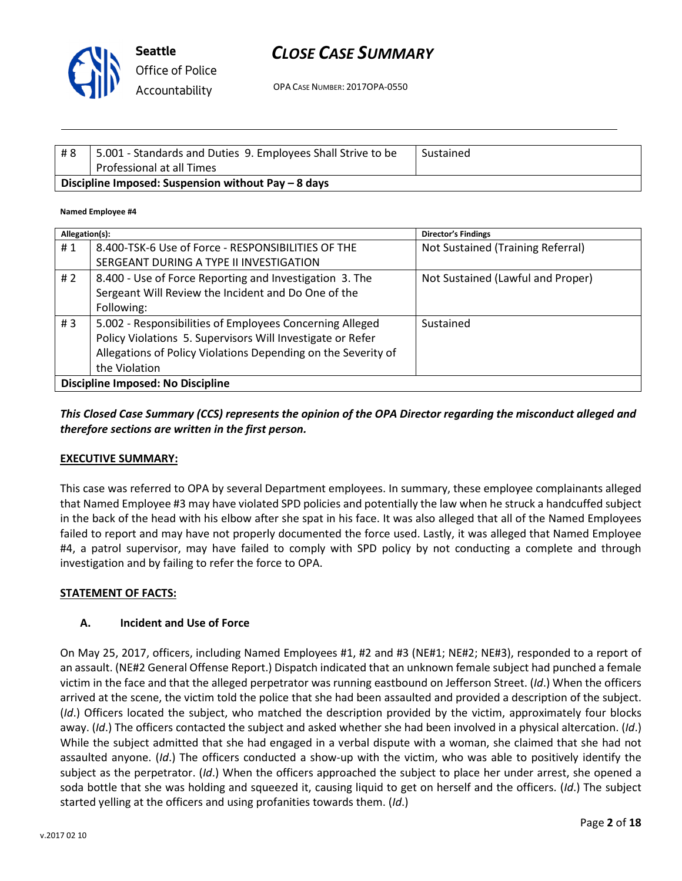

Seattle Office of Police Accountability

# CLOSE CASE SUMMARY

OPA CASE NUMBER: 2017OPA-0550

| #8                                                  | 5.001 - Standards and Duties 9. Employees Shall Strive to be<br>Professional at all Times | Sustained |
|-----------------------------------------------------|-------------------------------------------------------------------------------------------|-----------|
| Discipline Imposed: Suspension without Pay – 8 days |                                                                                           |           |

#### Named Employee #4

| Allegation(s):                           |                                                               | <b>Director's Findings</b>        |
|------------------------------------------|---------------------------------------------------------------|-----------------------------------|
| #1                                       | 8.400-TSK-6 Use of Force - RESPONSIBILITIES OF THE            | Not Sustained (Training Referral) |
|                                          | SERGEANT DURING A TYPE II INVESTIGATION                       |                                   |
| #2                                       | 8.400 - Use of Force Reporting and Investigation 3. The       | Not Sustained (Lawful and Proper) |
|                                          | Sergeant Will Review the Incident and Do One of the           |                                   |
|                                          | Following:                                                    |                                   |
| #3                                       | 5.002 - Responsibilities of Employees Concerning Alleged      | Sustained                         |
|                                          | Policy Violations 5. Supervisors Will Investigate or Refer    |                                   |
|                                          | Allegations of Policy Violations Depending on the Severity of |                                   |
|                                          | the Violation                                                 |                                   |
| <b>Discipline Imposed: No Discipline</b> |                                                               |                                   |

# This Closed Case Summary (CCS) represents the opinion of the OPA Director regarding the misconduct alleged and therefore sections are written in the first person.

#### EXECUTIVE SUMMARY:

This case was referred to OPA by several Department employees. In summary, these employee complainants alleged that Named Employee #3 may have violated SPD policies and potentially the law when he struck a handcuffed subject in the back of the head with his elbow after she spat in his face. It was also alleged that all of the Named Employees failed to report and may have not properly documented the force used. Lastly, it was alleged that Named Employee #4, a patrol supervisor, may have failed to comply with SPD policy by not conducting a complete and through investigation and by failing to refer the force to OPA.

#### STATEMENT OF FACTS:

#### A. Incident and Use of Force

On May 25, 2017, officers, including Named Employees #1, #2 and #3 (NE#1; NE#2; NE#3), responded to a report of an assault. (NE#2 General Offense Report.) Dispatch indicated that an unknown female subject had punched a female victim in the face and that the alleged perpetrator was running eastbound on Jefferson Street. (Id.) When the officers arrived at the scene, the victim told the police that she had been assaulted and provided a description of the subject. (Id.) Officers located the subject, who matched the description provided by the victim, approximately four blocks away. (Id.) The officers contacted the subject and asked whether she had been involved in a physical altercation. (Id.) While the subject admitted that she had engaged in a verbal dispute with a woman, she claimed that she had not assaulted anyone. (Id.) The officers conducted a show-up with the victim, who was able to positively identify the subject as the perpetrator. (Id.) When the officers approached the subject to place her under arrest, she opened a soda bottle that she was holding and squeezed it, causing liquid to get on herself and the officers. (Id.) The subject started yelling at the officers and using profanities towards them. (Id.)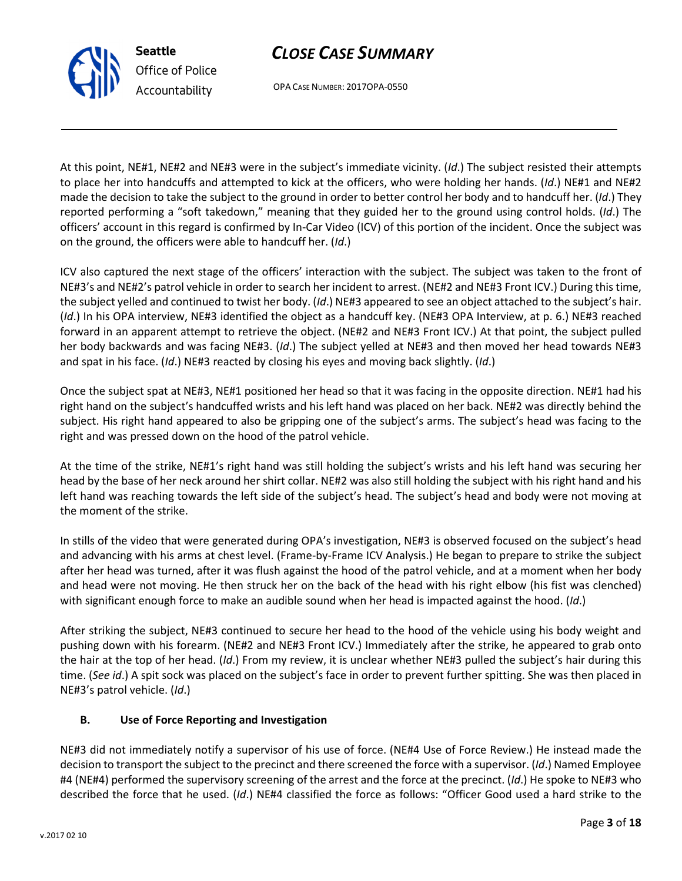v.2017 02 10

# CLOSE CASE SUMMARY

OPA CASE NUMBER: 2017OPA-0550

At this point, NE#1, NE#2 and NE#3 were in the subject's immediate vicinity. (Id.) The subject resisted their attempts to place her into handcuffs and attempted to kick at the officers, who were holding her hands. (Id.) NE#1 and NE#2 made the decision to take the subject to the ground in order to better control her body and to handcuff her. (Id.) They reported performing a "soft takedown," meaning that they guided her to the ground using control holds. (Id.) The officers' account in this regard is confirmed by In-Car Video (ICV) of this portion of the incident. Once the subject was on the ground, the officers were able to handcuff her. (Id.)

ICV also captured the next stage of the officers' interaction with the subject. The subject was taken to the front of NE#3's and NE#2's patrol vehicle in order to search her incident to arrest. (NE#2 and NE#3 Front ICV.) During this time, the subject yelled and continued to twist her body. (Id.) NE#3 appeared to see an object attached to the subject's hair. (Id.) In his OPA interview, NE#3 identified the object as a handcuff key. (NE#3 OPA Interview, at p. 6.) NE#3 reached forward in an apparent attempt to retrieve the object. (NE#2 and NE#3 Front ICV.) At that point, the subject pulled her body backwards and was facing NE#3. (Id.) The subject yelled at NE#3 and then moved her head towards NE#3 and spat in his face. (Id.) NE#3 reacted by closing his eyes and moving back slightly. (Id.)

Once the subject spat at NE#3, NE#1 positioned her head so that it was facing in the opposite direction. NE#1 had his right hand on the subject's handcuffed wrists and his left hand was placed on her back. NE#2 was directly behind the subject. His right hand appeared to also be gripping one of the subject's arms. The subject's head was facing to the right and was pressed down on the hood of the patrol vehicle.

At the time of the strike, NE#1's right hand was still holding the subject's wrists and his left hand was securing her head by the base of her neck around her shirt collar. NE#2 was also still holding the subject with his right hand and his left hand was reaching towards the left side of the subject's head. The subject's head and body were not moving at the moment of the strike.

In stills of the video that were generated during OPA's investigation, NE#3 is observed focused on the subject's head and advancing with his arms at chest level. (Frame-by-Frame ICV Analysis.) He began to prepare to strike the subject after her head was turned, after it was flush against the hood of the patrol vehicle, and at a moment when her body and head were not moving. He then struck her on the back of the head with his right elbow (his fist was clenched) with significant enough force to make an audible sound when her head is impacted against the hood. (Id.)

After striking the subject, NE#3 continued to secure her head to the hood of the vehicle using his body weight and pushing down with his forearm. (NE#2 and NE#3 Front ICV.) Immediately after the strike, he appeared to grab onto the hair at the top of her head. (Id.) From my review, it is unclear whether NE#3 pulled the subject's hair during this time. (See id.) A spit sock was placed on the subject's face in order to prevent further spitting. She was then placed in NE#3's patrol vehicle. (Id.)

# B. Use of Force Reporting and Investigation

NE#3 did not immediately notify a supervisor of his use of force. (NE#4 Use of Force Review.) He instead made the decision to transport the subject to the precinct and there screened the force with a supervisor. (Id.) Named Employee #4 (NE#4) performed the supervisory screening of the arrest and the force at the precinct. (Id.) He spoke to NE#3 who described the force that he used. (Id.) NE#4 classified the force as follows: "Officer Good used a hard strike to the



Seattle

Office of Police Accountability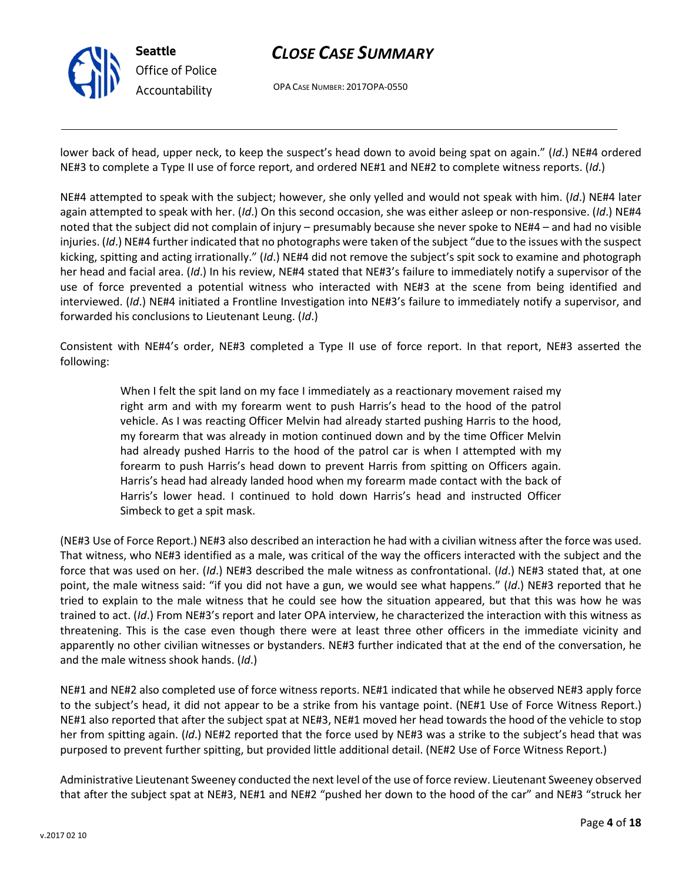

OPA CASE NUMBER: 2017OPA-0550

lower back of head, upper neck, to keep the suspect's head down to avoid being spat on again." (Id.) NE#4 ordered NE#3 to complete a Type II use of force report, and ordered NE#1 and NE#2 to complete witness reports. (Id.)

NE#4 attempted to speak with the subject; however, she only yelled and would not speak with him. (Id.) NE#4 later again attempted to speak with her. (Id.) On this second occasion, she was either asleep or non-responsive. (Id.) NE#4 noted that the subject did not complain of injury – presumably because she never spoke to NE#4 – and had no visible injuries. (Id.) NE#4 further indicated that no photographs were taken of the subject "due to the issues with the suspect kicking, spitting and acting irrationally." (Id.) NE#4 did not remove the subject's spit sock to examine and photograph her head and facial area. (Id.) In his review, NE#4 stated that NE#3's failure to immediately notify a supervisor of the use of force prevented a potential witness who interacted with NE#3 at the scene from being identified and interviewed. (Id.) NE#4 initiated a Frontline Investigation into NE#3's failure to immediately notify a supervisor, and forwarded his conclusions to Lieutenant Leung. (Id.)

Consistent with NE#4's order, NE#3 completed a Type II use of force report. In that report, NE#3 asserted the following:

> When I felt the spit land on my face I immediately as a reactionary movement raised my right arm and with my forearm went to push Harris's head to the hood of the patrol vehicle. As I was reacting Officer Melvin had already started pushing Harris to the hood, my forearm that was already in motion continued down and by the time Officer Melvin had already pushed Harris to the hood of the patrol car is when I attempted with my forearm to push Harris's head down to prevent Harris from spitting on Officers again. Harris's head had already landed hood when my forearm made contact with the back of Harris's lower head. I continued to hold down Harris's head and instructed Officer Simbeck to get a spit mask.

(NE#3 Use of Force Report.) NE#3 also described an interaction he had with a civilian witness after the force was used. That witness, who NE#3 identified as a male, was critical of the way the officers interacted with the subject and the force that was used on her. (Id.) NE#3 described the male witness as confrontational. (Id.) NE#3 stated that, at one point, the male witness said: "if you did not have a gun, we would see what happens." (Id.) NE#3 reported that he tried to explain to the male witness that he could see how the situation appeared, but that this was how he was trained to act. (Id.) From NE#3's report and later OPA interview, he characterized the interaction with this witness as threatening. This is the case even though there were at least three other officers in the immediate vicinity and apparently no other civilian witnesses or bystanders. NE#3 further indicated that at the end of the conversation, he and the male witness shook hands. (Id.)

NE#1 and NE#2 also completed use of force witness reports. NE#1 indicated that while he observed NE#3 apply force to the subject's head, it did not appear to be a strike from his vantage point. (NE#1 Use of Force Witness Report.) NE#1 also reported that after the subject spat at NE#3, NE#1 moved her head towards the hood of the vehicle to stop her from spitting again. (Id.) NE#2 reported that the force used by NE#3 was a strike to the subject's head that was purposed to prevent further spitting, but provided little additional detail. (NE#2 Use of Force Witness Report.)

Administrative Lieutenant Sweeney conducted the next level of the use of force review. Lieutenant Sweeney observed that after the subject spat at NE#3, NE#1 and NE#2 "pushed her down to the hood of the car" and NE#3 "struck her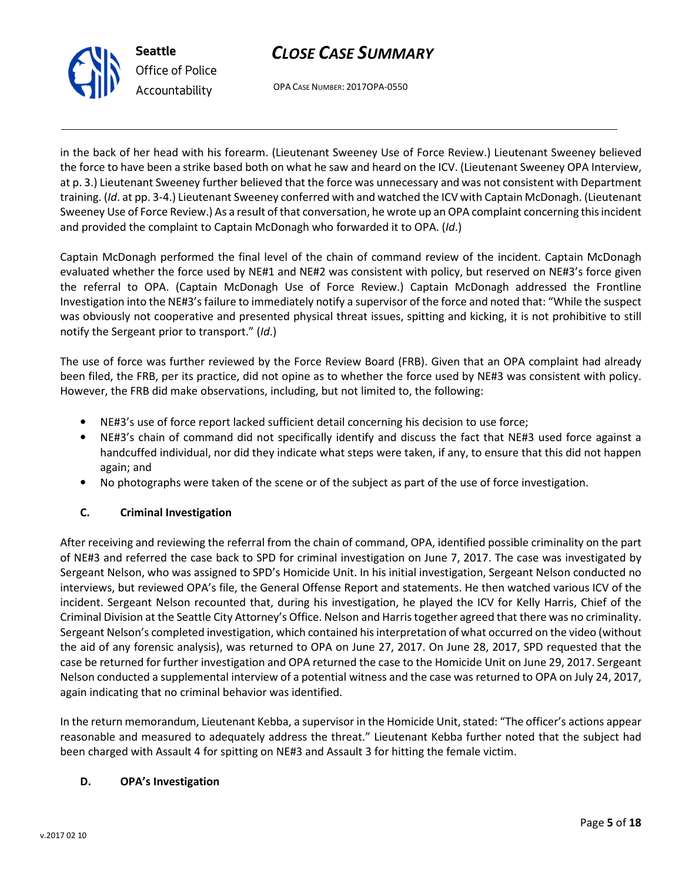



in the back of her head with his forearm. (Lieutenant Sweeney Use of Force Review.) Lieutenant Sweeney believed the force to have been a strike based both on what he saw and heard on the ICV. (Lieutenant Sweeney OPA Interview, at p. 3.) Lieutenant Sweeney further believed that the force was unnecessary and was not consistent with Department training. (Id. at pp. 3-4.) Lieutenant Sweeney conferred with and watched the ICV with Captain McDonagh. (Lieutenant Sweeney Use of Force Review.) As a result of that conversation, he wrote up an OPA complaint concerning this incident and provided the complaint to Captain McDonagh who forwarded it to OPA. (Id.)

Captain McDonagh performed the final level of the chain of command review of the incident. Captain McDonagh evaluated whether the force used by NE#1 and NE#2 was consistent with policy, but reserved on NE#3's force given the referral to OPA. (Captain McDonagh Use of Force Review.) Captain McDonagh addressed the Frontline Investigation into the NE#3's failure to immediately notify a supervisor of the force and noted that: "While the suspect was obviously not cooperative and presented physical threat issues, spitting and kicking, it is not prohibitive to still notify the Sergeant prior to transport." (Id.)

The use of force was further reviewed by the Force Review Board (FRB). Given that an OPA complaint had already been filed, the FRB, per its practice, did not opine as to whether the force used by NE#3 was consistent with policy. However, the FRB did make observations, including, but not limited to, the following:

- NE#3's use of force report lacked sufficient detail concerning his decision to use force;
- NE#3's chain of command did not specifically identify and discuss the fact that NE#3 used force against a handcuffed individual, nor did they indicate what steps were taken, if any, to ensure that this did not happen again; and
- No photographs were taken of the scene or of the subject as part of the use of force investigation.

# C. Criminal Investigation

After receiving and reviewing the referral from the chain of command, OPA, identified possible criminality on the part of NE#3 and referred the case back to SPD for criminal investigation on June 7, 2017. The case was investigated by Sergeant Nelson, who was assigned to SPD's Homicide Unit. In his initial investigation, Sergeant Nelson conducted no interviews, but reviewed OPA's file, the General Offense Report and statements. He then watched various ICV of the incident. Sergeant Nelson recounted that, during his investigation, he played the ICV for Kelly Harris, Chief of the Criminal Division at the Seattle City Attorney's Office. Nelson and Harris together agreed that there was no criminality. Sergeant Nelson's completed investigation, which contained his interpretation of what occurred on the video (without the aid of any forensic analysis), was returned to OPA on June 27, 2017. On June 28, 2017, SPD requested that the case be returned for further investigation and OPA returned the case to the Homicide Unit on June 29, 2017. Sergeant Nelson conducted a supplemental interview of a potential witness and the case was returned to OPA on July 24, 2017, again indicating that no criminal behavior was identified.

In the return memorandum, Lieutenant Kebba, a supervisor in the Homicide Unit, stated: "The officer's actions appear reasonable and measured to adequately address the threat." Lieutenant Kebba further noted that the subject had been charged with Assault 4 for spitting on NE#3 and Assault 3 for hitting the female victim.

## D. OPA's Investigation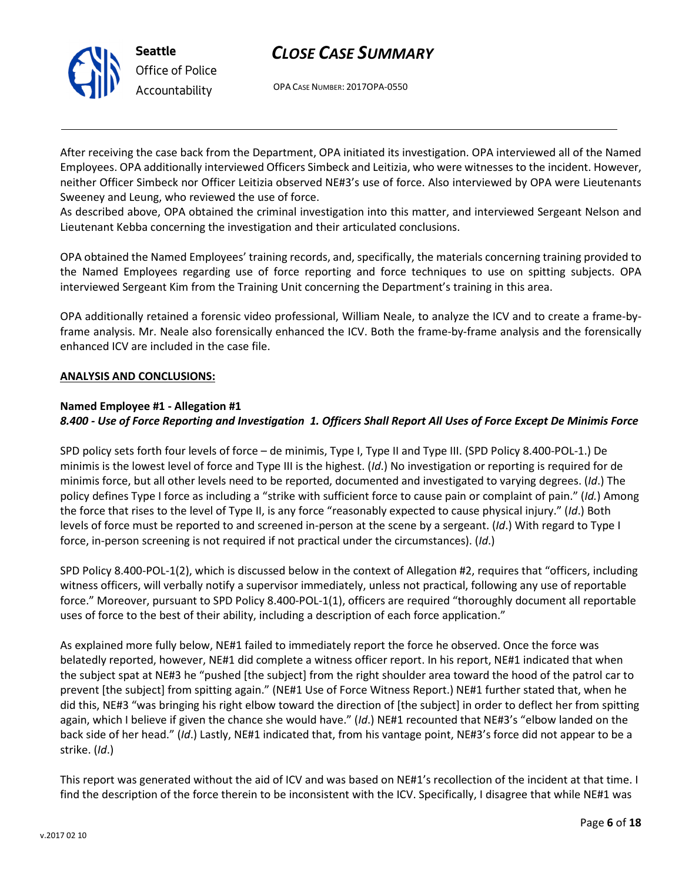



After receiving the case back from the Department, OPA initiated its investigation. OPA interviewed all of the Named Employees. OPA additionally interviewed Officers Simbeck and Leitizia, who were witnesses to the incident. However, neither Officer Simbeck nor Officer Leitizia observed NE#3's use of force. Also interviewed by OPA were Lieutenants Sweeney and Leung, who reviewed the use of force.

As described above, OPA obtained the criminal investigation into this matter, and interviewed Sergeant Nelson and Lieutenant Kebba concerning the investigation and their articulated conclusions.

OPA obtained the Named Employees' training records, and, specifically, the materials concerning training provided to the Named Employees regarding use of force reporting and force techniques to use on spitting subjects. OPA interviewed Sergeant Kim from the Training Unit concerning the Department's training in this area.

OPA additionally retained a forensic video professional, William Neale, to analyze the ICV and to create a frame-byframe analysis. Mr. Neale also forensically enhanced the ICV. Both the frame-by-frame analysis and the forensically enhanced ICV are included in the case file.

#### ANALYSIS AND CONCLUSIONS:

#### Named Employee #1 - Allegation #1

## 8.400 - Use of Force Reporting and Investigation 1. Officers Shall Report All Uses of Force Except De Minimis Force

SPD policy sets forth four levels of force – de minimis, Type I, Type II and Type III. (SPD Policy 8.400-POL-1.) De minimis is the lowest level of force and Type III is the highest. (Id.) No investigation or reporting is required for de minimis force, but all other levels need to be reported, documented and investigated to varying degrees. (Id.) The policy defines Type I force as including a "strike with sufficient force to cause pain or complaint of pain." (Id.) Among the force that rises to the level of Type II, is any force "reasonably expected to cause physical injury." (Id.) Both levels of force must be reported to and screened in-person at the scene by a sergeant. (Id.) With regard to Type I force, in-person screening is not required if not practical under the circumstances). (Id.)

SPD Policy 8.400-POL-1(2), which is discussed below in the context of Allegation #2, requires that "officers, including witness officers, will verbally notify a supervisor immediately, unless not practical, following any use of reportable force." Moreover, pursuant to SPD Policy 8.400-POL-1(1), officers are required "thoroughly document all reportable uses of force to the best of their ability, including a description of each force application."

As explained more fully below, NE#1 failed to immediately report the force he observed. Once the force was belatedly reported, however, NE#1 did complete a witness officer report. In his report, NE#1 indicated that when the subject spat at NE#3 he "pushed [the subject] from the right shoulder area toward the hood of the patrol car to prevent [the subject] from spitting again." (NE#1 Use of Force Witness Report.) NE#1 further stated that, when he did this, NE#3 "was bringing his right elbow toward the direction of [the subject] in order to deflect her from spitting again, which I believe if given the chance she would have." (Id.) NE#1 recounted that NE#3's "elbow landed on the back side of her head." (Id.) Lastly, NE#1 indicated that, from his vantage point, NE#3's force did not appear to be a strike. (Id.)

This report was generated without the aid of ICV and was based on NE#1's recollection of the incident at that time. I find the description of the force therein to be inconsistent with the ICV. Specifically, I disagree that while NE#1 was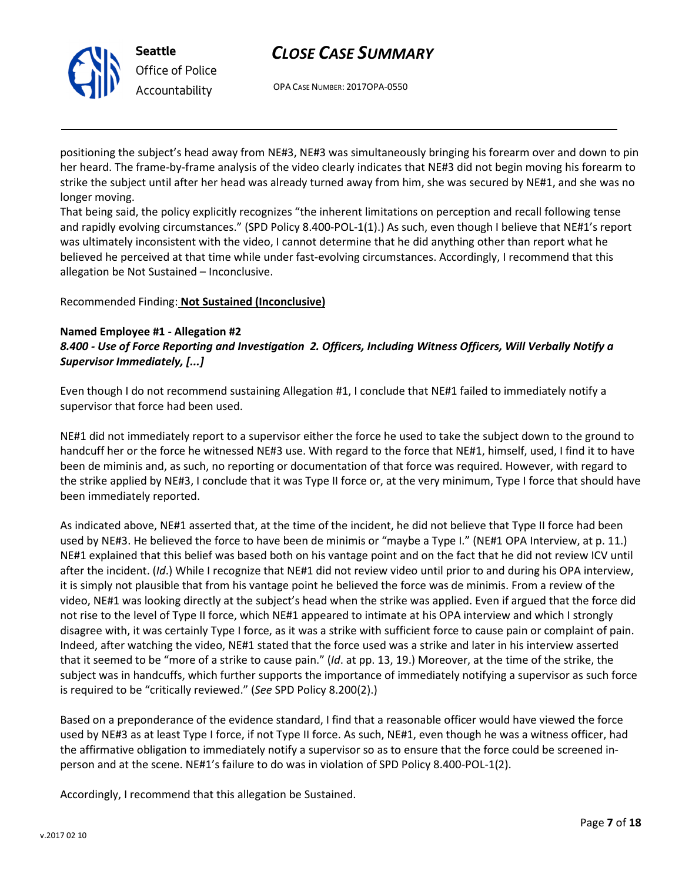



positioning the subject's head away from NE#3, NE#3 was simultaneously bringing his forearm over and down to pin her heard. The frame-by-frame analysis of the video clearly indicates that NE#3 did not begin moving his forearm to strike the subject until after her head was already turned away from him, she was secured by NE#1, and she was no longer moving.

That being said, the policy explicitly recognizes "the inherent limitations on perception and recall following tense and rapidly evolving circumstances." (SPD Policy 8.400-POL-1(1).) As such, even though I believe that NE#1's report was ultimately inconsistent with the video, I cannot determine that he did anything other than report what he believed he perceived at that time while under fast-evolving circumstances. Accordingly, I recommend that this allegation be Not Sustained – Inconclusive.

Recommended Finding: Not Sustained (Inconclusive)

# Named Employee #1 - Allegation #2

8.400 - Use of Force Reporting and Investigation 2. Officers, Including Witness Officers, Will Verbally Notify a Supervisor Immediately, [...]

Even though I do not recommend sustaining Allegation #1, I conclude that NE#1 failed to immediately notify a supervisor that force had been used.

NE#1 did not immediately report to a supervisor either the force he used to take the subject down to the ground to handcuff her or the force he witnessed NE#3 use. With regard to the force that NE#1, himself, used, I find it to have been de miminis and, as such, no reporting or documentation of that force was required. However, with regard to the strike applied by NE#3, I conclude that it was Type II force or, at the very minimum, Type I force that should have been immediately reported.

As indicated above, NE#1 asserted that, at the time of the incident, he did not believe that Type II force had been used by NE#3. He believed the force to have been de minimis or "maybe a Type I." (NE#1 OPA Interview, at p. 11.) NE#1 explained that this belief was based both on his vantage point and on the fact that he did not review ICV until after the incident. (Id.) While I recognize that NE#1 did not review video until prior to and during his OPA interview, it is simply not plausible that from his vantage point he believed the force was de minimis. From a review of the video, NE#1 was looking directly at the subject's head when the strike was applied. Even if argued that the force did not rise to the level of Type II force, which NE#1 appeared to intimate at his OPA interview and which I strongly disagree with, it was certainly Type I force, as it was a strike with sufficient force to cause pain or complaint of pain. Indeed, after watching the video, NE#1 stated that the force used was a strike and later in his interview asserted that it seemed to be "more of a strike to cause pain." (Id. at pp. 13, 19.) Moreover, at the time of the strike, the subject was in handcuffs, which further supports the importance of immediately notifying a supervisor as such force is required to be "critically reviewed." (See SPD Policy 8.200(2).)

Based on a preponderance of the evidence standard, I find that a reasonable officer would have viewed the force used by NE#3 as at least Type I force, if not Type II force. As such, NE#1, even though he was a witness officer, had the affirmative obligation to immediately notify a supervisor so as to ensure that the force could be screened inperson and at the scene. NE#1's failure to do was in violation of SPD Policy 8.400-POL-1(2).

Accordingly, I recommend that this allegation be Sustained.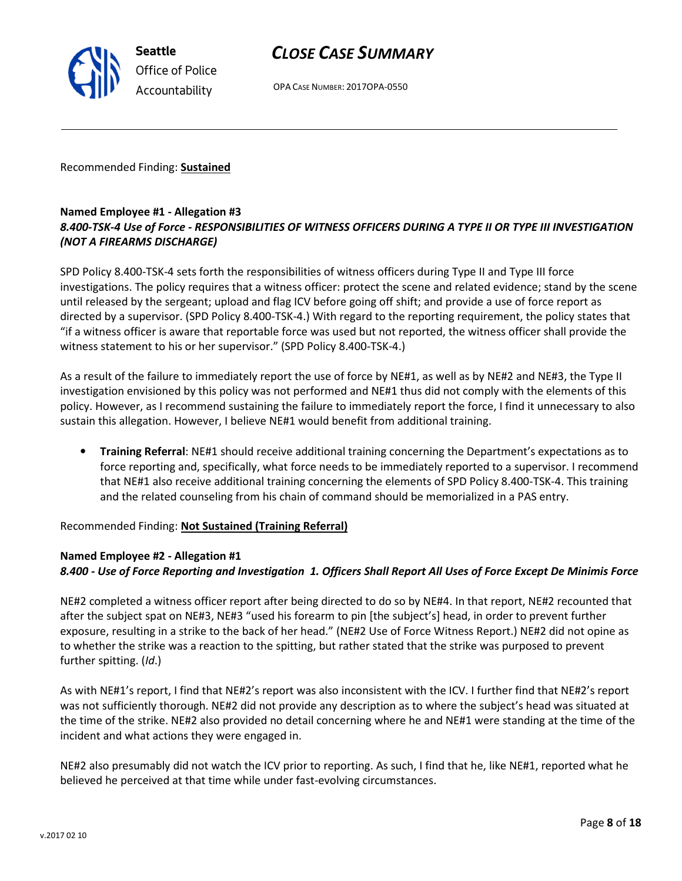OPA CASE NUMBER: 2017OPA-0550

Recommended Finding: Sustained

## Named Employee #1 - Allegation #3 8.400-TSK-4 Use of Force - RESPONSIBILITIES OF WITNESS OFFICERS DURING A TYPE II OR TYPE III INVESTIGATION (NOT A FIREARMS DISCHARGE)

SPD Policy 8.400-TSK-4 sets forth the responsibilities of witness officers during Type II and Type III force investigations. The policy requires that a witness officer: protect the scene and related evidence; stand by the scene until released by the sergeant; upload and flag ICV before going off shift; and provide a use of force report as directed by a supervisor. (SPD Policy 8.400-TSK-4.) With regard to the reporting requirement, the policy states that "if a witness officer is aware that reportable force was used but not reported, the witness officer shall provide the witness statement to his or her supervisor." (SPD Policy 8.400-TSK-4.)

As a result of the failure to immediately report the use of force by NE#1, as well as by NE#2 and NE#3, the Type II investigation envisioned by this policy was not performed and NE#1 thus did not comply with the elements of this policy. However, as I recommend sustaining the failure to immediately report the force, I find it unnecessary to also sustain this allegation. However, I believe NE#1 would benefit from additional training.

• Training Referral: NE#1 should receive additional training concerning the Department's expectations as to force reporting and, specifically, what force needs to be immediately reported to a supervisor. I recommend that NE#1 also receive additional training concerning the elements of SPD Policy 8.400-TSK-4. This training and the related counseling from his chain of command should be memorialized in a PAS entry.

Recommended Finding: Not Sustained (Training Referral)

## Named Employee #2 - Allegation #1

## 8.400 - Use of Force Reporting and Investigation 1. Officers Shall Report All Uses of Force Except De Minimis Force

NE#2 completed a witness officer report after being directed to do so by NE#4. In that report, NE#2 recounted that after the subject spat on NE#3, NE#3 "used his forearm to pin [the subject's] head, in order to prevent further exposure, resulting in a strike to the back of her head." (NE#2 Use of Force Witness Report.) NE#2 did not opine as to whether the strike was a reaction to the spitting, but rather stated that the strike was purposed to prevent further spitting. (Id.)

As with NE#1's report, I find that NE#2's report was also inconsistent with the ICV. I further find that NE#2's report was not sufficiently thorough. NE#2 did not provide any description as to where the subject's head was situated at the time of the strike. NE#2 also provided no detail concerning where he and NE#1 were standing at the time of the incident and what actions they were engaged in.

NE#2 also presumably did not watch the ICV prior to reporting. As such, I find that he, like NE#1, reported what he believed he perceived at that time while under fast-evolving circumstances.



Seattle Office of Police Accountability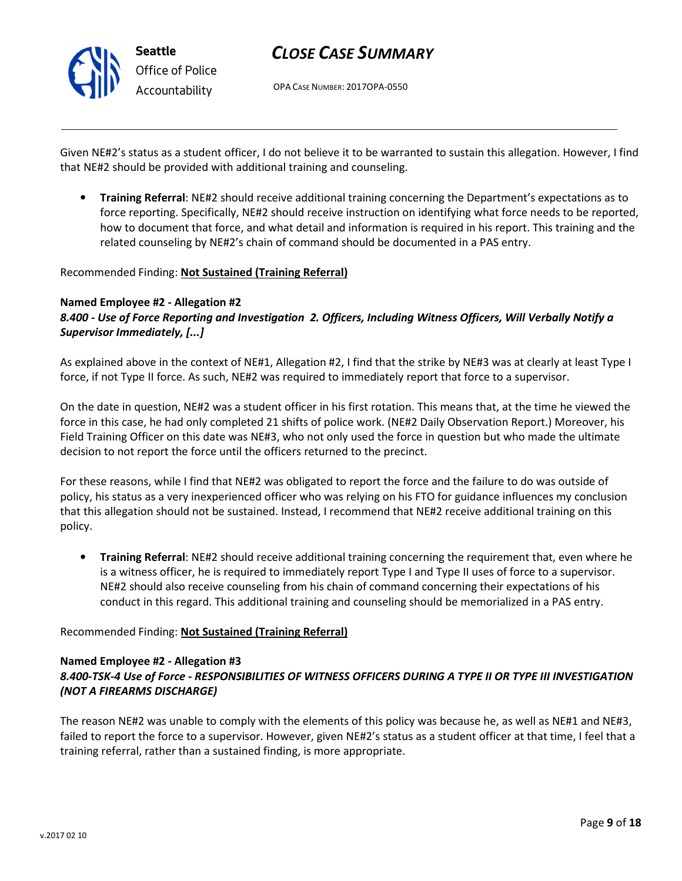

OPA CASE NUMBER: 2017OPA-0550

Given NE#2's status as a student officer, I do not believe it to be warranted to sustain this allegation. However, I find that NE#2 should be provided with additional training and counseling.

• Training Referral: NE#2 should receive additional training concerning the Department's expectations as to force reporting. Specifically, NE#2 should receive instruction on identifying what force needs to be reported, how to document that force, and what detail and information is required in his report. This training and the related counseling by NE#2's chain of command should be documented in a PAS entry.

#### Recommended Finding: Not Sustained (Training Referral)

#### Named Employee #2 - Allegation #2

8.400 - Use of Force Reporting and Investigation 2. Officers, Including Witness Officers, Will Verbally Notify a Supervisor Immediately, [...]

As explained above in the context of NE#1, Allegation #2, I find that the strike by NE#3 was at clearly at least Type I force, if not Type II force. As such, NE#2 was required to immediately report that force to a supervisor.

On the date in question, NE#2 was a student officer in his first rotation. This means that, at the time he viewed the force in this case, he had only completed 21 shifts of police work. (NE#2 Daily Observation Report.) Moreover, his Field Training Officer on this date was NE#3, who not only used the force in question but who made the ultimate decision to not report the force until the officers returned to the precinct.

For these reasons, while I find that NE#2 was obligated to report the force and the failure to do was outside of policy, his status as a very inexperienced officer who was relying on his FTO for guidance influences my conclusion that this allegation should not be sustained. Instead, I recommend that NE#2 receive additional training on this policy.

• Training Referral: NE#2 should receive additional training concerning the requirement that, even where he is a witness officer, he is required to immediately report Type I and Type II uses of force to a supervisor. NE#2 should also receive counseling from his chain of command concerning their expectations of his conduct in this regard. This additional training and counseling should be memorialized in a PAS entry.

Recommended Finding: Not Sustained (Training Referral)

#### Named Employee #2 - Allegation #3

# 8.400-TSK-4 Use of Force - RESPONSIBILITIES OF WITNESS OFFICERS DURING A TYPE II OR TYPE III INVESTIGATION (NOT A FIREARMS DISCHARGE)

The reason NE#2 was unable to comply with the elements of this policy was because he, as well as NE#1 and NE#3, failed to report the force to a supervisor. However, given NE#2's status as a student officer at that time, I feel that a training referral, rather than a sustained finding, is more appropriate.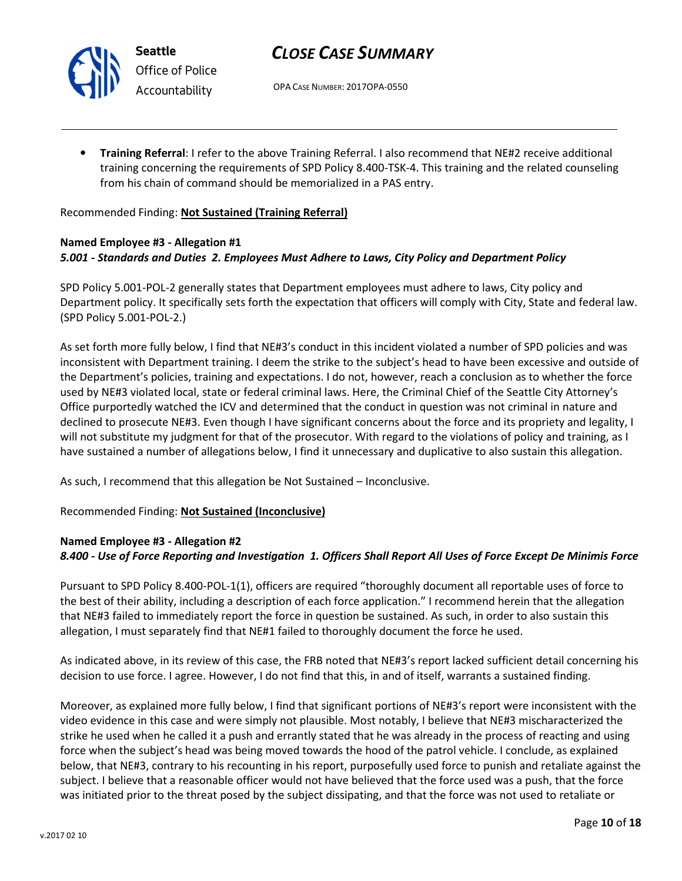

Seattle Office of Police Accountability

# CLOSE CASE SUMMARY

OPA CASE NUMBER: 2017OPA-0550

• Training Referral: I refer to the above Training Referral. I also recommend that NE#2 receive additional training concerning the requirements of SPD Policy 8.400-TSK-4. This training and the related counseling from his chain of command should be memorialized in a PAS entry.

#### Recommended Finding: Not Sustained (Training Referral)

#### Named Employee #3 - Allegation #1 5.001 - Standards and Duties 2. Employees Must Adhere to Laws, City Policy and Department Policy

SPD Policy 5.001-POL-2 generally states that Department employees must adhere to laws, City policy and Department policy. It specifically sets forth the expectation that officers will comply with City, State and federal law. (SPD Policy 5.001-POL-2.)

As set forth more fully below, I find that NE#3's conduct in this incident violated a number of SPD policies and was inconsistent with Department training. I deem the strike to the subject's head to have been excessive and outside of the Department's policies, training and expectations. I do not, however, reach a conclusion as to whether the force used by NE#3 violated local, state or federal criminal laws. Here, the Criminal Chief of the Seattle City Attorney's Office purportedly watched the ICV and determined that the conduct in question was not criminal in nature and declined to prosecute NE#3. Even though I have significant concerns about the force and its propriety and legality, I will not substitute my judgment for that of the prosecutor. With regard to the violations of policy and training, as I have sustained a number of allegations below, I find it unnecessary and duplicative to also sustain this allegation.

As such, I recommend that this allegation be Not Sustained – Inconclusive.

Recommended Finding: Not Sustained (Inconclusive)

## Named Employee #3 - Allegation #2

## 8.400 - Use of Force Reporting and Investigation 1. Officers Shall Report All Uses of Force Except De Minimis Force

Pursuant to SPD Policy 8.400-POL-1(1), officers are required "thoroughly document all reportable uses of force to the best of their ability, including a description of each force application." I recommend herein that the allegation that NE#3 failed to immediately report the force in question be sustained. As such, in order to also sustain this allegation, I must separately find that NE#1 failed to thoroughly document the force he used.

As indicated above, in its review of this case, the FRB noted that NE#3's report lacked sufficient detail concerning his decision to use force. I agree. However, I do not find that this, in and of itself, warrants a sustained finding.

Moreover, as explained more fully below, I find that significant portions of NE#3's report were inconsistent with the video evidence in this case and were simply not plausible. Most notably, I believe that NE#3 mischaracterized the strike he used when he called it a push and errantly stated that he was already in the process of reacting and using force when the subject's head was being moved towards the hood of the patrol vehicle. I conclude, as explained below, that NE#3, contrary to his recounting in his report, purposefully used force to punish and retaliate against the subject. I believe that a reasonable officer would not have believed that the force used was a push, that the force was initiated prior to the threat posed by the subject dissipating, and that the force was not used to retaliate or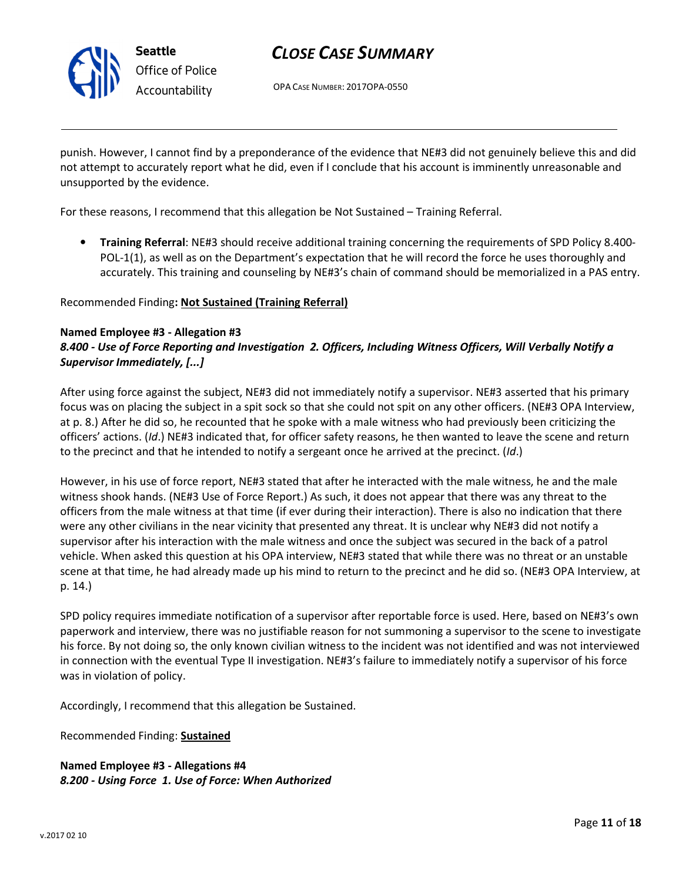

OPA CASE NUMBER: 2017OPA-0550

punish. However, I cannot find by a preponderance of the evidence that NE#3 did not genuinely believe this and did not attempt to accurately report what he did, even if I conclude that his account is imminently unreasonable and unsupported by the evidence.

For these reasons, I recommend that this allegation be Not Sustained – Training Referral.

• Training Referral: NE#3 should receive additional training concerning the requirements of SPD Policy 8.400-POL-1(1), as well as on the Department's expectation that he will record the force he uses thoroughly and accurately. This training and counseling by NE#3's chain of command should be memorialized in a PAS entry.

Recommended Finding: Not Sustained (Training Referral)

#### Named Employee #3 - Allegation #3

### 8.400 - Use of Force Reporting and Investigation 2. Officers, Including Witness Officers, Will Verbally Notify a Supervisor Immediately, [...]

After using force against the subject, NE#3 did not immediately notify a supervisor. NE#3 asserted that his primary focus was on placing the subject in a spit sock so that she could not spit on any other officers. (NE#3 OPA Interview, at p. 8.) After he did so, he recounted that he spoke with a male witness who had previously been criticizing the officers' actions. (Id.) NE#3 indicated that, for officer safety reasons, he then wanted to leave the scene and return to the precinct and that he intended to notify a sergeant once he arrived at the precinct. (Id.)

However, in his use of force report, NE#3 stated that after he interacted with the male witness, he and the male witness shook hands. (NE#3 Use of Force Report.) As such, it does not appear that there was any threat to the officers from the male witness at that time (if ever during their interaction). There is also no indication that there were any other civilians in the near vicinity that presented any threat. It is unclear why NE#3 did not notify a supervisor after his interaction with the male witness and once the subject was secured in the back of a patrol vehicle. When asked this question at his OPA interview, NE#3 stated that while there was no threat or an unstable scene at that time, he had already made up his mind to return to the precinct and he did so. (NE#3 OPA Interview, at p. 14.)

SPD policy requires immediate notification of a supervisor after reportable force is used. Here, based on NE#3's own paperwork and interview, there was no justifiable reason for not summoning a supervisor to the scene to investigate his force. By not doing so, the only known civilian witness to the incident was not identified and was not interviewed in connection with the eventual Type II investigation. NE#3's failure to immediately notify a supervisor of his force was in violation of policy.

Accordingly, I recommend that this allegation be Sustained.

Recommended Finding: Sustained

Named Employee #3 - Allegations #4 8.200 - Using Force 1. Use of Force: When Authorized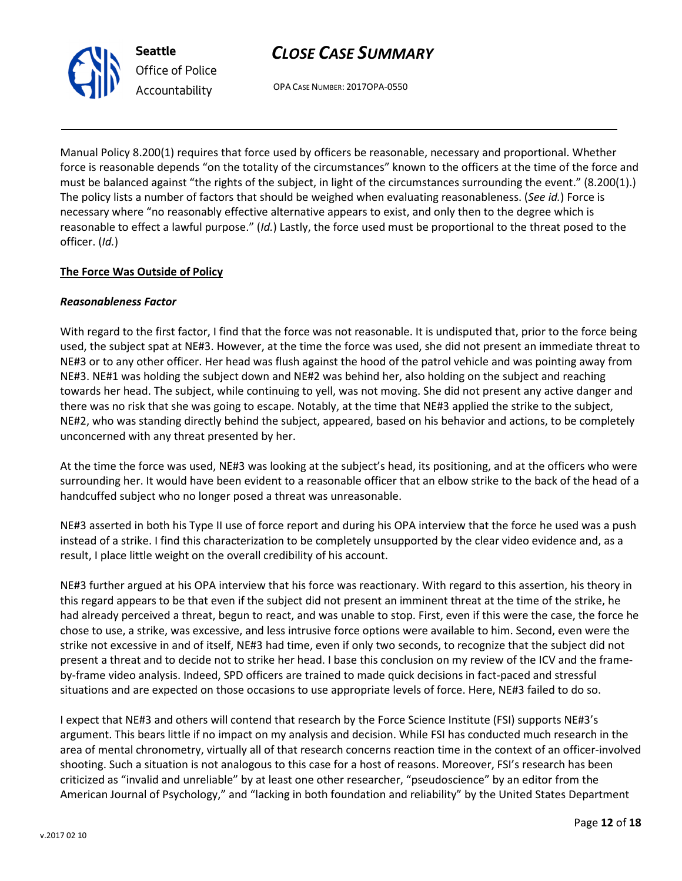unconcerned with any threat presented by her.

At the time the force was used, NE#3 was looking at the subject's head, its positioning, and at the officers who were surrounding her. It would have been evident to a reasonable officer that an elbow strike to the back of the head of a handcuffed subject who no longer posed a threat was unreasonable.

NE#3 asserted in both his Type II use of force report and during his OPA interview that the force he used was a push instead of a strike. I find this characterization to be completely unsupported by the clear video evidence and, as a result, I place little weight on the overall credibility of his account.

NE#3 further argued at his OPA interview that his force was reactionary. With regard to this assertion, his theory in this regard appears to be that even if the subject did not present an imminent threat at the time of the strike, he had already perceived a threat, begun to react, and was unable to stop. First, even if this were the case, the force he chose to use, a strike, was excessive, and less intrusive force options were available to him. Second, even were the strike not excessive in and of itself, NE#3 had time, even if only two seconds, to recognize that the subject did not present a threat and to decide not to strike her head. I base this conclusion on my review of the ICV and the frameby-frame video analysis. Indeed, SPD officers are trained to made quick decisions in fact-paced and stressful situations and are expected on those occasions to use appropriate levels of force. Here, NE#3 failed to do so.

I expect that NE#3 and others will contend that research by the Force Science Institute (FSI) supports NE#3's argument. This bears little if no impact on my analysis and decision. While FSI has conducted much research in the area of mental chronometry, virtually all of that research concerns reaction time in the context of an officer-involved shooting. Such a situation is not analogous to this case for a host of reasons. Moreover, FSI's research has been criticized as "invalid and unreliable" by at least one other researcher, "pseudoscience" by an editor from the American Journal of Psychology," and "lacking in both foundation and reliability" by the United States Department

# CLOSE CASE SUMMARY

OPA CASE NUMBER: 2017OPA-0550

Manual Policy 8.200(1) requires that force used by officers be reasonable, necessary and proportional. Whether force is reasonable depends "on the totality of the circumstances" known to the officers at the time of the force and must be balanced against "the rights of the subject, in light of the circumstances surrounding the event." (8.200(1).) The policy lists a number of factors that should be weighed when evaluating reasonableness. (See id.) Force is necessary where "no reasonably effective alternative appears to exist, and only then to the degree which is reasonable to effect a lawful purpose." (Id.) Lastly, the force used must be proportional to the threat posed to the officer. (Id.)

With regard to the first factor, I find that the force was not reasonable. It is undisputed that, prior to the force being used, the subject spat at NE#3. However, at the time the force was used, she did not present an immediate threat to NE#3 or to any other officer. Her head was flush against the hood of the patrol vehicle and was pointing away from NE#3. NE#1 was holding the subject down and NE#2 was behind her, also holding on the subject and reaching towards her head. The subject, while continuing to yell, was not moving. She did not present any active danger and there was no risk that she was going to escape. Notably, at the time that NE#3 applied the strike to the subject, NE#2, who was standing directly behind the subject, appeared, based on his behavior and actions, to be completely

## The Force Was Outside of Policy

Seattle

Office of Police Accountability

#### Reasonableness Factor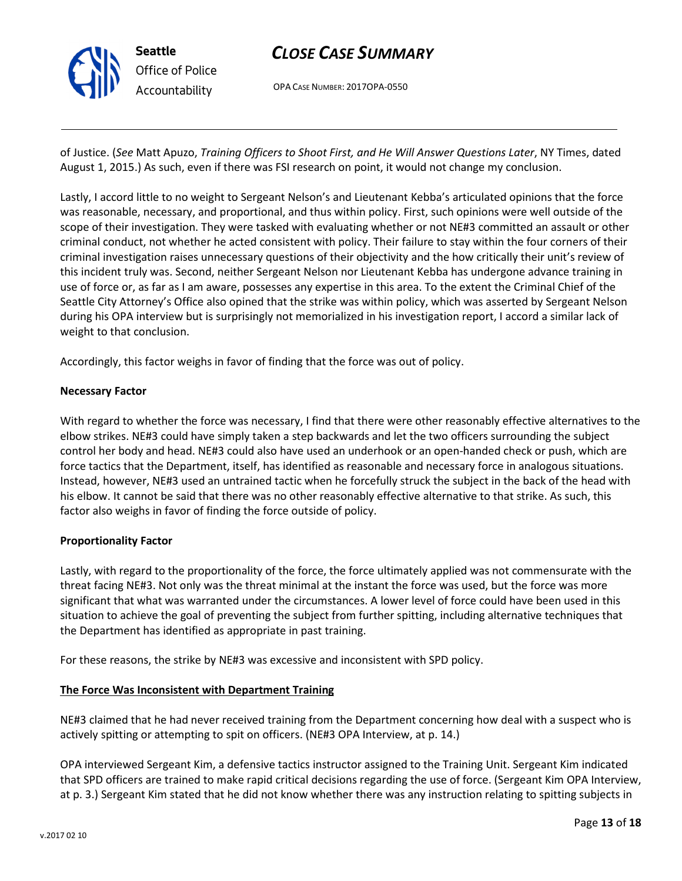

OPA CASE NUMBER: 2017OPA-0550

of Justice. (See Matt Apuzo, Training Officers to Shoot First, and He Will Answer Questions Later, NY Times, dated August 1, 2015.) As such, even if there was FSI research on point, it would not change my conclusion.

Lastly, I accord little to no weight to Sergeant Nelson's and Lieutenant Kebba's articulated opinions that the force was reasonable, necessary, and proportional, and thus within policy. First, such opinions were well outside of the scope of their investigation. They were tasked with evaluating whether or not NE#3 committed an assault or other criminal conduct, not whether he acted consistent with policy. Their failure to stay within the four corners of their criminal investigation raises unnecessary questions of their objectivity and the how critically their unit's review of this incident truly was. Second, neither Sergeant Nelson nor Lieutenant Kebba has undergone advance training in use of force or, as far as I am aware, possesses any expertise in this area. To the extent the Criminal Chief of the Seattle City Attorney's Office also opined that the strike was within policy, which was asserted by Sergeant Nelson during his OPA interview but is surprisingly not memorialized in his investigation report, I accord a similar lack of weight to that conclusion.

Accordingly, this factor weighs in favor of finding that the force was out of policy.

#### Necessary Factor

With regard to whether the force was necessary, I find that there were other reasonably effective alternatives to the elbow strikes. NE#3 could have simply taken a step backwards and let the two officers surrounding the subject control her body and head. NE#3 could also have used an underhook or an open-handed check or push, which are force tactics that the Department, itself, has identified as reasonable and necessary force in analogous situations. Instead, however, NE#3 used an untrained tactic when he forcefully struck the subject in the back of the head with his elbow. It cannot be said that there was no other reasonably effective alternative to that strike. As such, this factor also weighs in favor of finding the force outside of policy.

#### Proportionality Factor

Lastly, with regard to the proportionality of the force, the force ultimately applied was not commensurate with the threat facing NE#3. Not only was the threat minimal at the instant the force was used, but the force was more significant that what was warranted under the circumstances. A lower level of force could have been used in this situation to achieve the goal of preventing the subject from further spitting, including alternative techniques that the Department has identified as appropriate in past training.

For these reasons, the strike by NE#3 was excessive and inconsistent with SPD policy.

## The Force Was Inconsistent with Department Training

NE#3 claimed that he had never received training from the Department concerning how deal with a suspect who is actively spitting or attempting to spit on officers. (NE#3 OPA Interview, at p. 14.)

OPA interviewed Sergeant Kim, a defensive tactics instructor assigned to the Training Unit. Sergeant Kim indicated that SPD officers are trained to make rapid critical decisions regarding the use of force. (Sergeant Kim OPA Interview, at p. 3.) Sergeant Kim stated that he did not know whether there was any instruction relating to spitting subjects in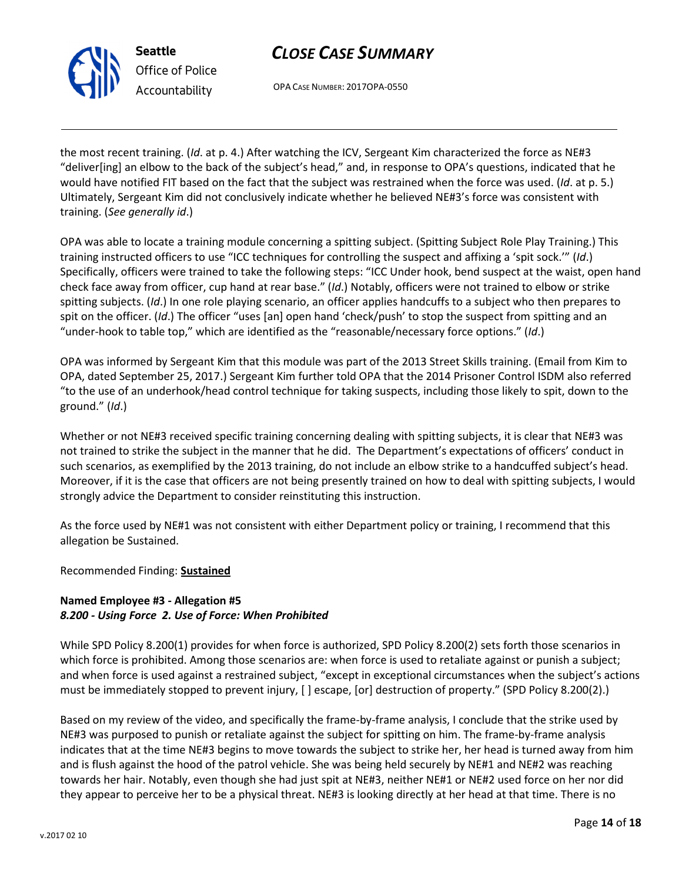



the most recent training. (Id. at p. 4.) After watching the ICV, Sergeant Kim characterized the force as NE#3 "deliver[ing] an elbow to the back of the subject's head," and, in response to OPA's questions, indicated that he would have notified FIT based on the fact that the subject was restrained when the force was used. (Id. at p. 5.) Ultimately, Sergeant Kim did not conclusively indicate whether he believed NE#3's force was consistent with training. (See generally id.)

OPA was able to locate a training module concerning a spitting subject. (Spitting Subject Role Play Training.) This training instructed officers to use "ICC techniques for controlling the suspect and affixing a 'spit sock.'" (Id.) Specifically, officers were trained to take the following steps: "ICC Under hook, bend suspect at the waist, open hand check face away from officer, cup hand at rear base." (Id.) Notably, officers were not trained to elbow or strike spitting subjects. (Id.) In one role playing scenario, an officer applies handcuffs to a subject who then prepares to spit on the officer. (Id.) The officer "uses [an] open hand 'check/push' to stop the suspect from spitting and an "under-hook to table top," which are identified as the "reasonable/necessary force options." (Id.)

OPA was informed by Sergeant Kim that this module was part of the 2013 Street Skills training. (Email from Kim to OPA, dated September 25, 2017.) Sergeant Kim further told OPA that the 2014 Prisoner Control ISDM also referred "to the use of an underhook/head control technique for taking suspects, including those likely to spit, down to the ground." (Id.)

Whether or not NE#3 received specific training concerning dealing with spitting subjects, it is clear that NE#3 was not trained to strike the subject in the manner that he did. The Department's expectations of officers' conduct in such scenarios, as exemplified by the 2013 training, do not include an elbow strike to a handcuffed subject's head. Moreover, if it is the case that officers are not being presently trained on how to deal with spitting subjects, I would strongly advice the Department to consider reinstituting this instruction.

As the force used by NE#1 was not consistent with either Department policy or training, I recommend that this allegation be Sustained.

Recommended Finding: Sustained

# Named Employee #3 - Allegation #5 8.200 - Using Force 2. Use of Force: When Prohibited

While SPD Policy 8.200(1) provides for when force is authorized, SPD Policy 8.200(2) sets forth those scenarios in which force is prohibited. Among those scenarios are: when force is used to retaliate against or punish a subject; and when force is used against a restrained subject, "except in exceptional circumstances when the subject's actions must be immediately stopped to prevent injury, [ ] escape, [or] destruction of property." (SPD Policy 8.200(2).)

Based on my review of the video, and specifically the frame-by-frame analysis, I conclude that the strike used by NE#3 was purposed to punish or retaliate against the subject for spitting on him. The frame-by-frame analysis indicates that at the time NE#3 begins to move towards the subject to strike her, her head is turned away from him and is flush against the hood of the patrol vehicle. She was being held securely by NE#1 and NE#2 was reaching towards her hair. Notably, even though she had just spit at NE#3, neither NE#1 or NE#2 used force on her nor did they appear to perceive her to be a physical threat. NE#3 is looking directly at her head at that time. There is no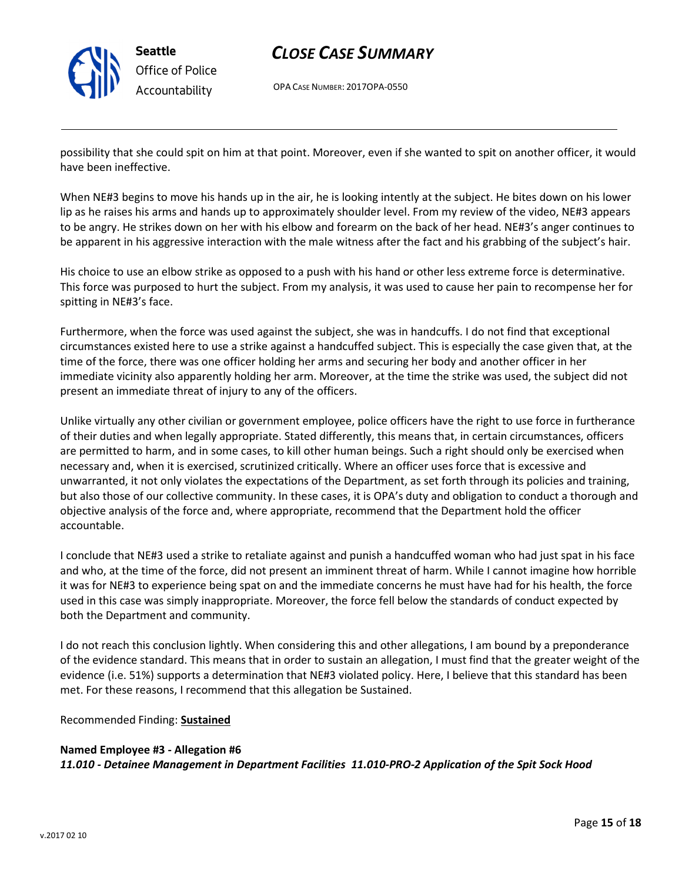

Seattle Office of Police Accountability

# CLOSE CASE SUMMARY

OPA CASE NUMBER: 2017OPA-0550

possibility that she could spit on him at that point. Moreover, even if she wanted to spit on another officer, it would have been ineffective.

When NE#3 begins to move his hands up in the air, he is looking intently at the subject. He bites down on his lower lip as he raises his arms and hands up to approximately shoulder level. From my review of the video, NE#3 appears to be angry. He strikes down on her with his elbow and forearm on the back of her head. NE#3's anger continues to be apparent in his aggressive interaction with the male witness after the fact and his grabbing of the subject's hair.

His choice to use an elbow strike as opposed to a push with his hand or other less extreme force is determinative. This force was purposed to hurt the subject. From my analysis, it was used to cause her pain to recompense her for spitting in NE#3's face.

Furthermore, when the force was used against the subject, she was in handcuffs. I do not find that exceptional circumstances existed here to use a strike against a handcuffed subject. This is especially the case given that, at the time of the force, there was one officer holding her arms and securing her body and another officer in her immediate vicinity also apparently holding her arm. Moreover, at the time the strike was used, the subject did not present an immediate threat of injury to any of the officers.

Unlike virtually any other civilian or government employee, police officers have the right to use force in furtherance of their duties and when legally appropriate. Stated differently, this means that, in certain circumstances, officers are permitted to harm, and in some cases, to kill other human beings. Such a right should only be exercised when necessary and, when it is exercised, scrutinized critically. Where an officer uses force that is excessive and unwarranted, it not only violates the expectations of the Department, as set forth through its policies and training, but also those of our collective community. In these cases, it is OPA's duty and obligation to conduct a thorough and objective analysis of the force and, where appropriate, recommend that the Department hold the officer accountable.

I conclude that NE#3 used a strike to retaliate against and punish a handcuffed woman who had just spat in his face and who, at the time of the force, did not present an imminent threat of harm. While I cannot imagine how horrible it was for NE#3 to experience being spat on and the immediate concerns he must have had for his health, the force used in this case was simply inappropriate. Moreover, the force fell below the standards of conduct expected by both the Department and community.

I do not reach this conclusion lightly. When considering this and other allegations, I am bound by a preponderance of the evidence standard. This means that in order to sustain an allegation, I must find that the greater weight of the evidence (i.e. 51%) supports a determination that NE#3 violated policy. Here, I believe that this standard has been met. For these reasons, I recommend that this allegation be Sustained.

Recommended Finding: Sustained

Named Employee #3 - Allegation #6 11.010 - Detainee Management in Department Facilities 11.010-PRO-2 Application of the Spit Sock Hood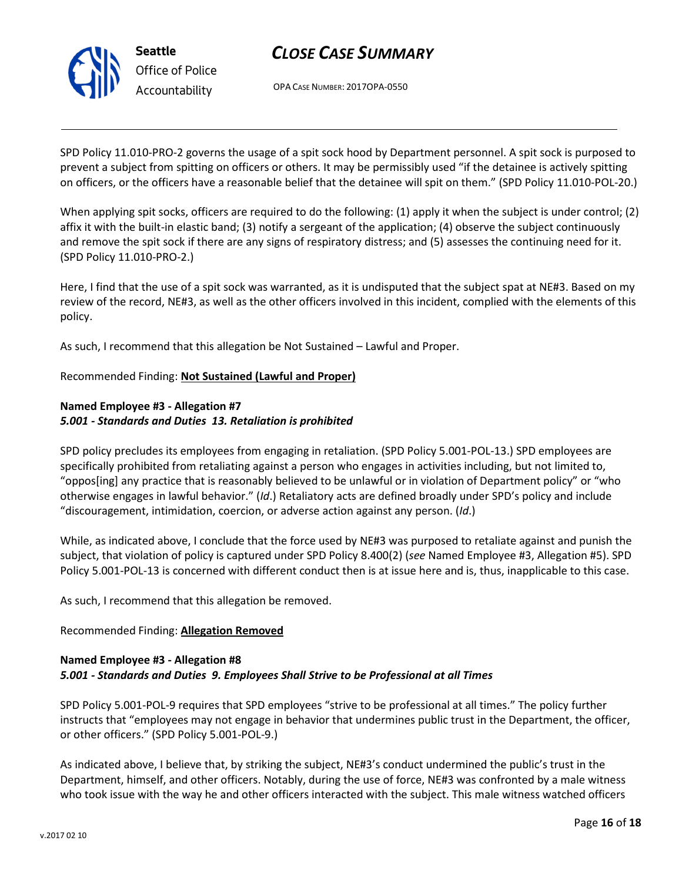

OPA CASE NUMBER: 2017OPA-0550

SPD Policy 11.010-PRO-2 governs the usage of a spit sock hood by Department personnel. A spit sock is purposed to prevent a subject from spitting on officers or others. It may be permissibly used "if the detainee is actively spitting on officers, or the officers have a reasonable belief that the detainee will spit on them." (SPD Policy 11.010-POL-20.)

When applying spit socks, officers are required to do the following: (1) apply it when the subject is under control; (2) affix it with the built-in elastic band; (3) notify a sergeant of the application; (4) observe the subject continuously and remove the spit sock if there are any signs of respiratory distress; and (5) assesses the continuing need for it. (SPD Policy 11.010-PRO-2.)

Here, I find that the use of a spit sock was warranted, as it is undisputed that the subject spat at NE#3. Based on my review of the record, NE#3, as well as the other officers involved in this incident, complied with the elements of this policy.

As such, I recommend that this allegation be Not Sustained – Lawful and Proper.

#### Recommended Finding: Not Sustained (Lawful and Proper)

## Named Employee #3 - Allegation #7 5.001 - Standards and Duties 13. Retaliation is prohibited

SPD policy precludes its employees from engaging in retaliation. (SPD Policy 5.001-POL-13.) SPD employees are specifically prohibited from retaliating against a person who engages in activities including, but not limited to, "oppos[ing] any practice that is reasonably believed to be unlawful or in violation of Department policy" or "who otherwise engages in lawful behavior." (Id.) Retaliatory acts are defined broadly under SPD's policy and include "discouragement, intimidation, coercion, or adverse action against any person. (Id.)

While, as indicated above, I conclude that the force used by NE#3 was purposed to retaliate against and punish the subject, that violation of policy is captured under SPD Policy 8.400(2) (see Named Employee #3, Allegation #5). SPD Policy 5.001-POL-13 is concerned with different conduct then is at issue here and is, thus, inapplicable to this case.

As such, I recommend that this allegation be removed.

#### Recommended Finding: Allegation Removed

#### Named Employee #3 - Allegation #8 5.001 - Standards and Duties 9. Employees Shall Strive to be Professional at all Times

SPD Policy 5.001-POL-9 requires that SPD employees "strive to be professional at all times." The policy further instructs that "employees may not engage in behavior that undermines public trust in the Department, the officer, or other officers." (SPD Policy 5.001-POL-9.)

As indicated above, I believe that, by striking the subject, NE#3's conduct undermined the public's trust in the Department, himself, and other officers. Notably, during the use of force, NE#3 was confronted by a male witness who took issue with the way he and other officers interacted with the subject. This male witness watched officers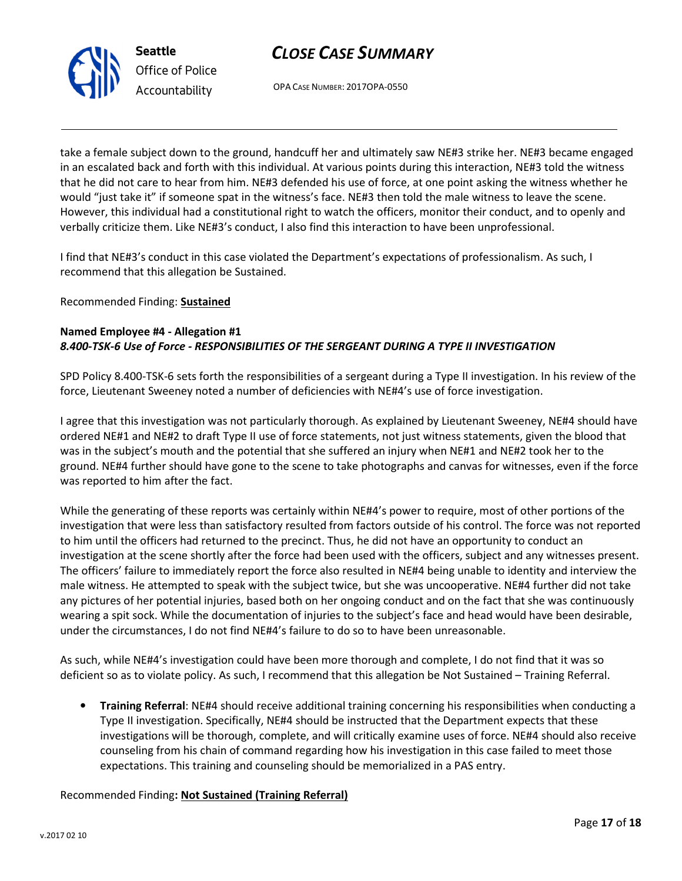



take a female subject down to the ground, handcuff her and ultimately saw NE#3 strike her. NE#3 became engaged in an escalated back and forth with this individual. At various points during this interaction, NE#3 told the witness that he did not care to hear from him. NE#3 defended his use of force, at one point asking the witness whether he would "just take it" if someone spat in the witness's face. NE#3 then told the male witness to leave the scene. However, this individual had a constitutional right to watch the officers, monitor their conduct, and to openly and verbally criticize them. Like NE#3's conduct, I also find this interaction to have been unprofessional.

I find that NE#3's conduct in this case violated the Department's expectations of professionalism. As such, I recommend that this allegation be Sustained.

Recommended Finding: Sustained

## Named Employee #4 - Allegation #1 8.400-TSK-6 Use of Force - RESPONSIBILITIES OF THE SERGEANT DURING A TYPE II INVESTIGATION

SPD Policy 8.400-TSK-6 sets forth the responsibilities of a sergeant during a Type II investigation. In his review of the force, Lieutenant Sweeney noted a number of deficiencies with NE#4's use of force investigation.

I agree that this investigation was not particularly thorough. As explained by Lieutenant Sweeney, NE#4 should have ordered NE#1 and NE#2 to draft Type II use of force statements, not just witness statements, given the blood that was in the subject's mouth and the potential that she suffered an injury when NE#1 and NE#2 took her to the ground. NE#4 further should have gone to the scene to take photographs and canvas for witnesses, even if the force was reported to him after the fact.

While the generating of these reports was certainly within NE#4's power to require, most of other portions of the investigation that were less than satisfactory resulted from factors outside of his control. The force was not reported to him until the officers had returned to the precinct. Thus, he did not have an opportunity to conduct an investigation at the scene shortly after the force had been used with the officers, subject and any witnesses present. The officers' failure to immediately report the force also resulted in NE#4 being unable to identity and interview the male witness. He attempted to speak with the subject twice, but she was uncooperative. NE#4 further did not take any pictures of her potential injuries, based both on her ongoing conduct and on the fact that she was continuously wearing a spit sock. While the documentation of injuries to the subject's face and head would have been desirable, under the circumstances, I do not find NE#4's failure to do so to have been unreasonable.

As such, while NE#4's investigation could have been more thorough and complete, I do not find that it was so deficient so as to violate policy. As such, I recommend that this allegation be Not Sustained – Training Referral.

• Training Referral: NE#4 should receive additional training concerning his responsibilities when conducting a Type II investigation. Specifically, NE#4 should be instructed that the Department expects that these investigations will be thorough, complete, and will critically examine uses of force. NE#4 should also receive counseling from his chain of command regarding how his investigation in this case failed to meet those expectations. This training and counseling should be memorialized in a PAS entry.

## Recommended Finding: Not Sustained (Training Referral)